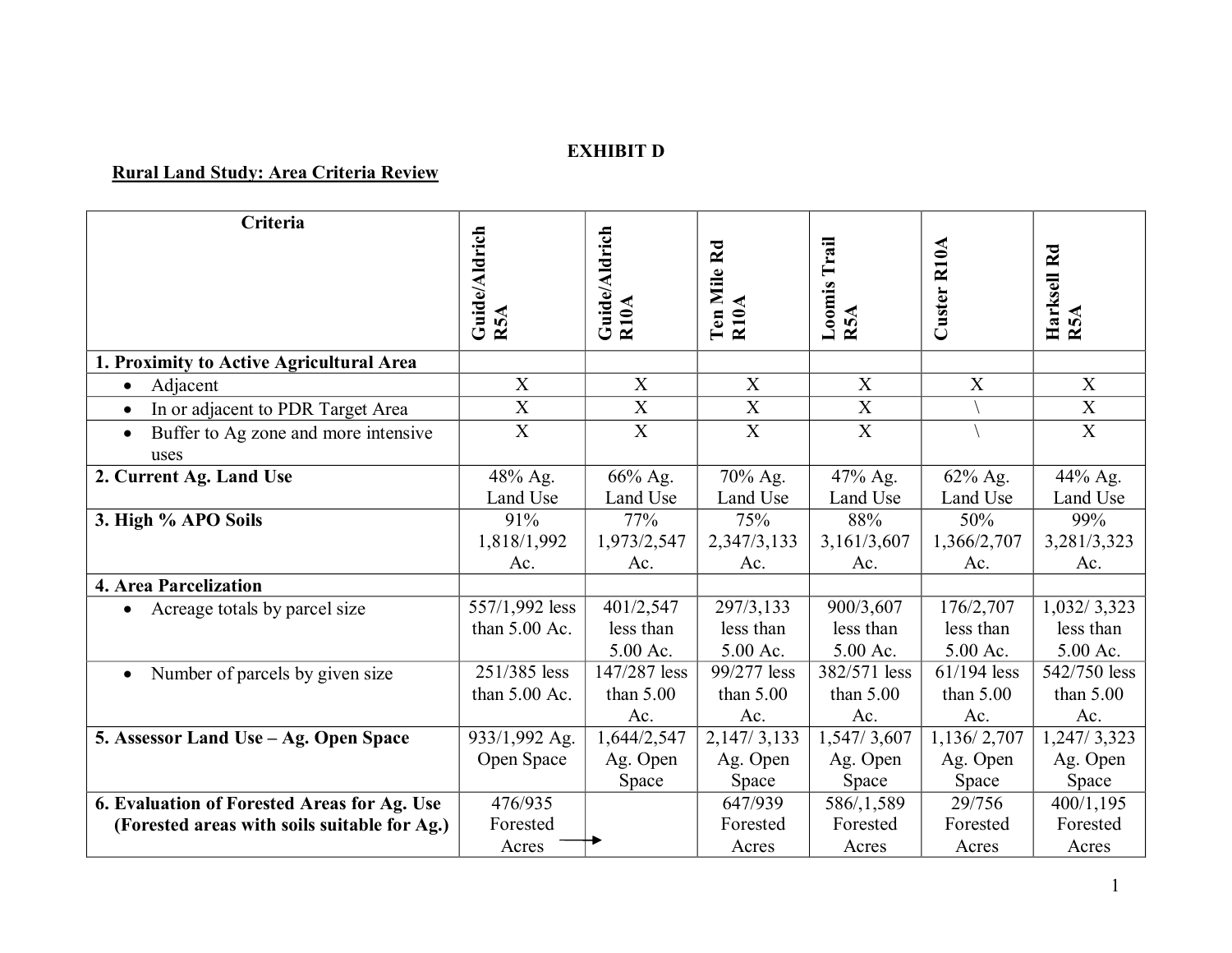## **EXHIBIT D**

## **Rural Land Study: Area Criteria Review**

| Criteria                                       | Guide/Aldrich<br>R5A              | Guide/Aldrich<br>R10A              | Ten Mile Rd<br>R10A                | Loomis Trail<br>R5A                | Custer R10A                        | Harksell Rd<br>R5A                   |
|------------------------------------------------|-----------------------------------|------------------------------------|------------------------------------|------------------------------------|------------------------------------|--------------------------------------|
| 1. Proximity to Active Agricultural Area       |                                   |                                    |                                    |                                    |                                    |                                      |
| Adjacent<br>$\bullet$                          | X                                 | X                                  | X                                  | X                                  | X                                  | X                                    |
| In or adjacent to PDR Target Area<br>$\bullet$ | $\overline{X}$                    | $\boldsymbol{\mathrm{X}}$          | $\mathbf X$                        | $\boldsymbol{\mathrm{X}}$          |                                    | $\mathbf X$                          |
| Buffer to Ag zone and more intensive<br>uses   | $\overline{X}$                    | $\overline{X}$                     | $\overline{X}$                     | $\overline{X}$                     |                                    | $\overline{X}$                       |
| 2. Current Ag. Land Use                        | 48% Ag.<br>Land Use               | 66% Ag.<br>Land Use                | 70% Ag.<br>Land Use                | 47% Ag.<br>Land Use                | 62% Ag.<br>Land Use                | 44% Ag.<br>Land Use                  |
| 3. High % APO Soils                            | 91%<br>1,818/1,992<br>Ac.         | 77%<br>1,973/2,547<br>Ac.          | 75%<br>2,347/3,133<br>Ac.          | 88%<br>3,161/3,607<br>Ac.          | 50%<br>1,366/2,707<br>Ac.          | 99%<br>3,281/3,323<br>Ac.            |
| 4. Area Parcelization                          |                                   |                                    |                                    |                                    |                                    |                                      |
| Acreage totals by parcel size                  | 557/1,992 less<br>than $5.00$ Ac. | 401/2,547<br>less than<br>5.00 Ac. | 297/3,133<br>less than<br>5.00 Ac. | 900/3,607<br>less than<br>5.00 Ac. | 176/2,707<br>less than<br>5.00 Ac. | 1,032/3,323<br>less than<br>5.00 Ac. |
| Number of parcels by given size<br>$\bullet$   | 251/385 less<br>than $5.00$ Ac.   | 147/287 less<br>than $5.00$<br>Ac. | 99/277 less<br>than $5.00$<br>Ac.  | 382/571 less<br>than $5.00$<br>Ac. | 61/194 less<br>than $5.00$<br>Ac.  | 542/750 less<br>than $5.00$<br>Ac.   |
| 5. Assessor Land Use - Ag. Open Space          | 933/1,992 Ag.                     | 1,644/2,547                        | 2, 147/3, 133                      | 1,547/3,607                        | 1,136/2,707                        | 1,247/3,323                          |
|                                                | Open Space                        | Ag. Open<br>Space                  | Ag. Open<br>Space                  | Ag. Open<br>Space                  | Ag. Open<br>Space                  | Ag. Open<br>Space                    |
| 6. Evaluation of Forested Areas for Ag. Use    | 476/935                           |                                    | 647/939                            | 586/,1,589                         | 29/756                             | 400/1,195                            |
| (Forested areas with soils suitable for Ag.)   | Forested                          |                                    | Forested                           | Forested                           | Forested                           | Forested                             |
|                                                | Acres                             |                                    | Acres                              | Acres                              | Acres                              | Acres                                |